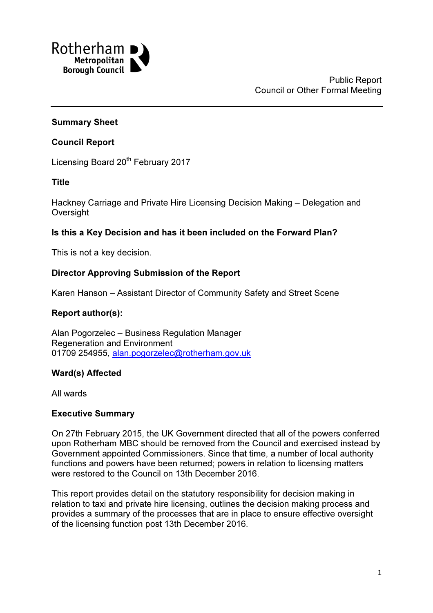

### Summary Sheet

#### Council Report

Licensing Board 20<sup>th</sup> February 2017

#### Title

Hackney Carriage and Private Hire Licensing Decision Making – Delegation and **Oversight** 

### Is this a Key Decision and has it been included on the Forward Plan?

This is not a key decision.

### Director Approving Submission of the Report

Karen Hanson – Assistant Director of Community Safety and Street Scene

#### Report author(s):

Alan Pogorzelec – Business Regulation Manager Regeneration and Environment 01709 254955, alan.pogorzelec@rotherham.gov.uk

## Ward(s) Affected

All wards

#### Executive Summary

On 27th February 2015, the UK Government directed that all of the powers conferred upon Rotherham MBC should be removed from the Council and exercised instead by Government appointed Commissioners. Since that time, a number of local authority functions and powers have been returned; powers in relation to licensing matters were restored to the Council on 13th December 2016.

This report provides detail on the statutory responsibility for decision making in relation to taxi and private hire licensing, outlines the decision making process and provides a summary of the processes that are in place to ensure effective oversight of the licensing function post 13th December 2016.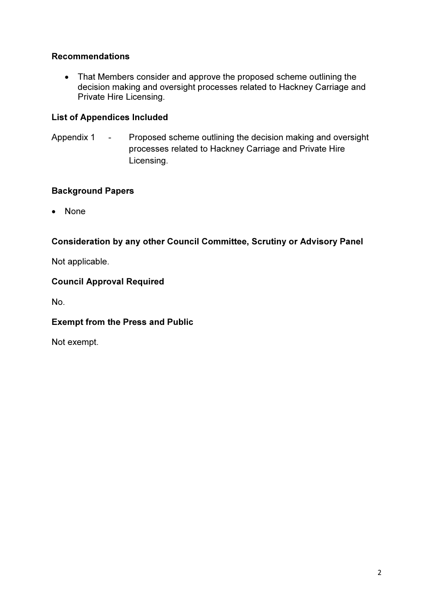# Recommendations

• That Members consider and approve the proposed scheme outlining the decision making and oversight processes related to Hackney Carriage and Private Hire Licensing.

# List of Appendices Included

Appendix 1 - Proposed scheme outlining the decision making and oversight processes related to Hackney Carriage and Private Hire Licensing.

## Background Papers

• None

# Consideration by any other Council Committee, Scrutiny or Advisory Panel

Not applicable.

# Council Approval Required

No.

## Exempt from the Press and Public

Not exempt.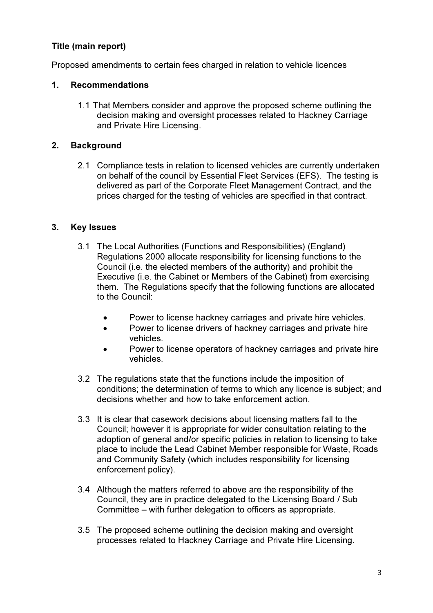# Title (main report)

Proposed amendments to certain fees charged in relation to vehicle licences

## 1. Recommendations

1.1 That Members consider and approve the proposed scheme outlining the decision making and oversight processes related to Hackney Carriage and Private Hire Licensing.

### 2. Background

2.1 Compliance tests in relation to licensed vehicles are currently undertaken on behalf of the council by Essential Fleet Services (EFS). The testing is delivered as part of the Corporate Fleet Management Contract, and the prices charged for the testing of vehicles are specified in that contract.

### 3. Key Issues

- 3.1 The Local Authorities (Functions and Responsibilities) (England) Regulations 2000 allocate responsibility for licensing functions to the Council (i.e. the elected members of the authority) and prohibit the Executive (i.e. the Cabinet or Members of the Cabinet) from exercising them. The Regulations specify that the following functions are allocated to the Council:
	- Power to license hackney carriages and private hire vehicles.
	- Power to license drivers of hackney carriages and private hire vehicles.
	- Power to license operators of hackney carriages and private hire vehicles.
- 3.2 The regulations state that the functions include the imposition of conditions; the determination of terms to which any licence is subject; and decisions whether and how to take enforcement action.
- 3.3 It is clear that casework decisions about licensing matters fall to the Council; however it is appropriate for wider consultation relating to the adoption of general and/or specific policies in relation to licensing to take place to include the Lead Cabinet Member responsible for Waste, Roads and Community Safety (which includes responsibility for licensing enforcement policy).
- 3.4 Although the matters referred to above are the responsibility of the Council, they are in practice delegated to the Licensing Board / Sub Committee – with further delegation to officers as appropriate.
- 3.5 The proposed scheme outlining the decision making and oversight processes related to Hackney Carriage and Private Hire Licensing.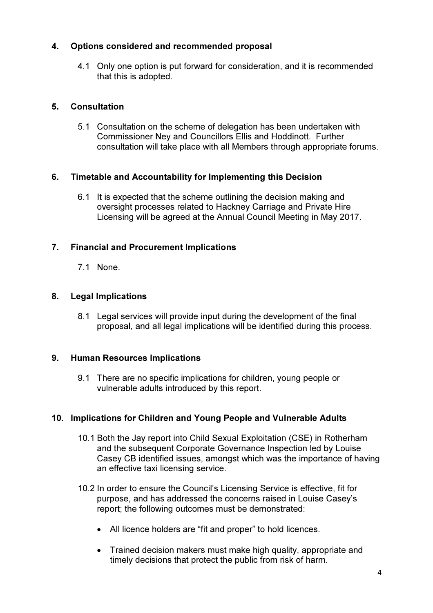# 4. Options considered and recommended proposal

4.1 Only one option is put forward for consideration, and it is recommended that this is adopted.

# 5. Consultation

5.1 Consultation on the scheme of delegation has been undertaken with Commissioner Ney and Councillors Ellis and Hoddinott. Further consultation will take place with all Members through appropriate forums.

# 6. Timetable and Accountability for Implementing this Decision

6.1 It is expected that the scheme outlining the decision making and oversight processes related to Hackney Carriage and Private Hire Licensing will be agreed at the Annual Council Meeting in May 2017.

# 7. Financial and Procurement Implications

7.1 None.

# 8. Legal Implications

8.1 Legal services will provide input during the development of the final proposal, and all legal implications will be identified during this process.

## 9. Human Resources Implications

9.1 There are no specific implications for children, young people or vulnerable adults introduced by this report.

## 10. Implications for Children and Young People and Vulnerable Adults

- 10.1 Both the Jay report into Child Sexual Exploitation (CSE) in Rotherham and the subsequent Corporate Governance Inspection led by Louise Casey CB identified issues, amongst which was the importance of having an effective taxi licensing service.
- 10.2 In order to ensure the Council's Licensing Service is effective, fit for purpose, and has addressed the concerns raised in Louise Casey's report; the following outcomes must be demonstrated:
	- All licence holders are "fit and proper" to hold licences.
	- Trained decision makers must make high quality, appropriate and timely decisions that protect the public from risk of harm.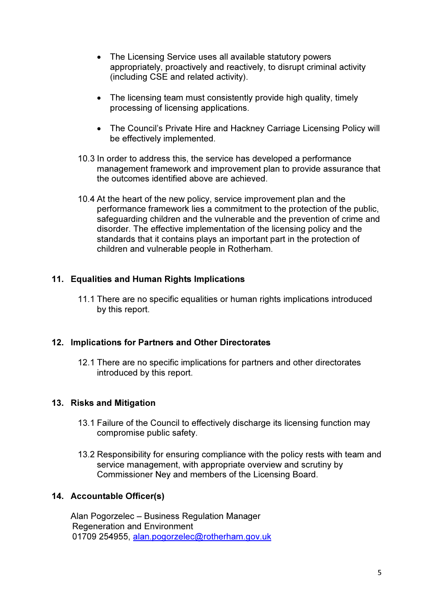- The Licensing Service uses all available statutory powers appropriately, proactively and reactively, to disrupt criminal activity (including CSE and related activity).
- The licensing team must consistently provide high quality, timely processing of licensing applications.
- The Council's Private Hire and Hackney Carriage Licensing Policy will be effectively implemented.
- 10.3 In order to address this, the service has developed a performance management framework and improvement plan to provide assurance that the outcomes identified above are achieved.
- 10.4 At the heart of the new policy, service improvement plan and the performance framework lies a commitment to the protection of the public, safeguarding children and the vulnerable and the prevention of crime and disorder. The effective implementation of the licensing policy and the standards that it contains plays an important part in the protection of children and vulnerable people in Rotherham.

# 11. Equalities and Human Rights Implications

11.1 There are no specific equalities or human rights implications introduced by this report.

## 12. Implications for Partners and Other Directorates

12.1 There are no specific implications for partners and other directorates introduced by this report.

## 13. Risks and Mitigation

- 13.1 Failure of the Council to effectively discharge its licensing function may compromise public safety.
- 13.2 Responsibility for ensuring compliance with the policy rests with team and service management, with appropriate overview and scrutiny by Commissioner Ney and members of the Licensing Board.

## 14. Accountable Officer(s)

Alan Pogorzelec – Business Regulation Manager Regeneration and Environment 01709 254955, alan.pogorzelec@rotherham.gov.uk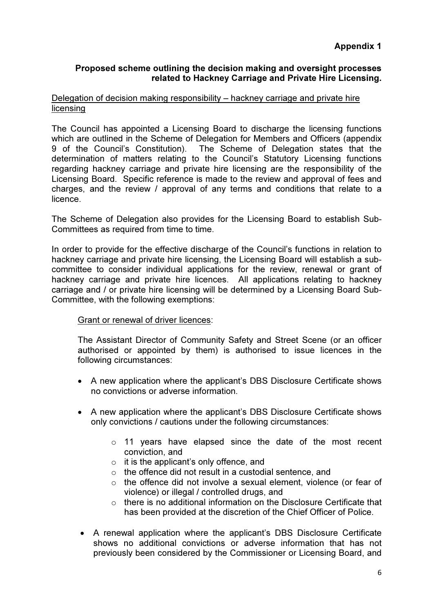# Appendix 1

## Proposed scheme outlining the decision making and oversight processes related to Hackney Carriage and Private Hire Licensing.

#### Delegation of decision making responsibility – hackney carriage and private hire licensing

The Council has appointed a Licensing Board to discharge the licensing functions which are outlined in the Scheme of Delegation for Members and Officers (appendix 9 of the Council's Constitution). The Scheme of Delegation states that the determination of matters relating to the Council's Statutory Licensing functions regarding hackney carriage and private hire licensing are the responsibility of the Licensing Board. Specific reference is made to the review and approval of fees and charges, and the review / approval of any terms and conditions that relate to a licence.

The Scheme of Delegation also provides for the Licensing Board to establish Sub-Committees as required from time to time.

In order to provide for the effective discharge of the Council's functions in relation to hackney carriage and private hire licensing, the Licensing Board will establish a subcommittee to consider individual applications for the review, renewal or grant of hackney carriage and private hire licences. All applications relating to hackney carriage and / or private hire licensing will be determined by a Licensing Board Sub-Committee, with the following exemptions:

#### Grant or renewal of driver licences:

The Assistant Director of Community Safety and Street Scene (or an officer authorised or appointed by them) is authorised to issue licences in the following circumstances:

- A new application where the applicant's DBS Disclosure Certificate shows no convictions or adverse information.
- A new application where the applicant's DBS Disclosure Certificate shows only convictions / cautions under the following circumstances:
	- o 11 years have elapsed since the date of the most recent conviction, and
	- o it is the applicant's only offence, and
	- $\circ$  the offence did not result in a custodial sentence, and
	- o the offence did not involve a sexual element, violence (or fear of violence) or illegal / controlled drugs, and
	- o there is no additional information on the Disclosure Certificate that has been provided at the discretion of the Chief Officer of Police.
- A renewal application where the applicant's DBS Disclosure Certificate shows no additional convictions or adverse information that has not previously been considered by the Commissioner or Licensing Board, and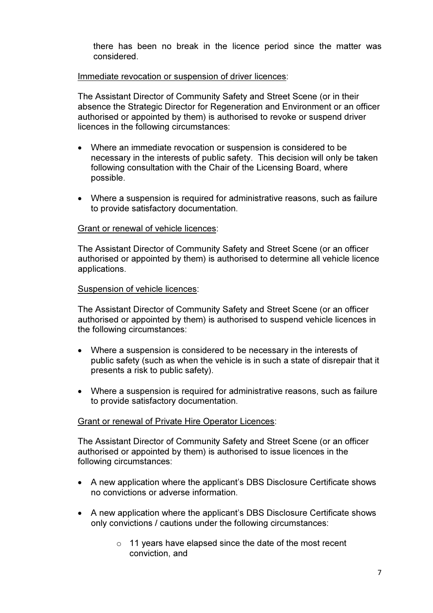there has been no break in the licence period since the matter was considered.

#### Immediate revocation or suspension of driver licences:

The Assistant Director of Community Safety and Street Scene (or in their absence the Strategic Director for Regeneration and Environment or an officer authorised or appointed by them) is authorised to revoke or suspend driver licences in the following circumstances:

- Where an immediate revocation or suspension is considered to be necessary in the interests of public safety. This decision will only be taken following consultation with the Chair of the Licensing Board, where possible.
- Where a suspension is required for administrative reasons, such as failure to provide satisfactory documentation.

#### Grant or renewal of vehicle licences:

The Assistant Director of Community Safety and Street Scene (or an officer authorised or appointed by them) is authorised to determine all vehicle licence applications.

#### Suspension of vehicle licences:

The Assistant Director of Community Safety and Street Scene (or an officer authorised or appointed by them) is authorised to suspend vehicle licences in the following circumstances:

- Where a suspension is considered to be necessary in the interests of public safety (such as when the vehicle is in such a state of disrepair that it presents a risk to public safety).
- Where a suspension is required for administrative reasons, such as failure to provide satisfactory documentation.

#### Grant or renewal of Private Hire Operator Licences:

The Assistant Director of Community Safety and Street Scene (or an officer authorised or appointed by them) is authorised to issue licences in the following circumstances:

- A new application where the applicant's DBS Disclosure Certificate shows no convictions or adverse information.
- A new application where the applicant's DBS Disclosure Certificate shows only convictions / cautions under the following circumstances:
	- o 11 years have elapsed since the date of the most recent conviction, and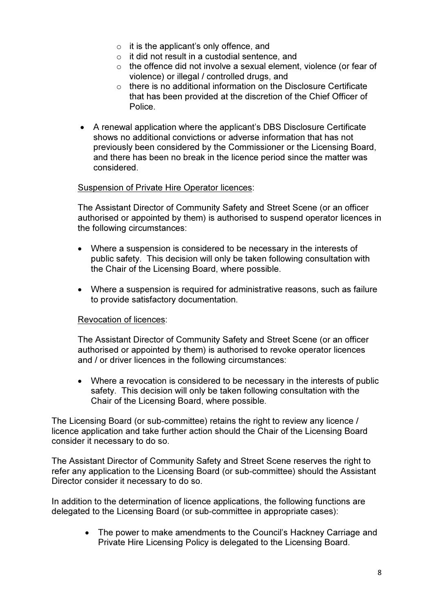- $\circ$  it is the applicant's only offence, and
- o it did not result in a custodial sentence, and
- $\circ$  the offence did not involve a sexual element, violence (or fear of violence) or illegal / controlled drugs, and
- $\circ$  there is no additional information on the Disclosure Certificate that has been provided at the discretion of the Chief Officer of Police.
- A renewal application where the applicant's DBS Disclosure Certificate shows no additional convictions or adverse information that has not previously been considered by the Commissioner or the Licensing Board, and there has been no break in the licence period since the matter was considered.

#### Suspension of Private Hire Operator licences:

The Assistant Director of Community Safety and Street Scene (or an officer authorised or appointed by them) is authorised to suspend operator licences in the following circumstances:

- Where a suspension is considered to be necessary in the interests of public safety. This decision will only be taken following consultation with the Chair of the Licensing Board, where possible.
- Where a suspension is required for administrative reasons, such as failure to provide satisfactory documentation.

#### Revocation of licences:

The Assistant Director of Community Safety and Street Scene (or an officer authorised or appointed by them) is authorised to revoke operator licences and / or driver licences in the following circumstances:

• Where a revocation is considered to be necessary in the interests of public safety. This decision will only be taken following consultation with the Chair of the Licensing Board, where possible.

The Licensing Board (or sub-committee) retains the right to review any licence / licence application and take further action should the Chair of the Licensing Board consider it necessary to do so.

The Assistant Director of Community Safety and Street Scene reserves the right to refer any application to the Licensing Board (or sub-committee) should the Assistant Director consider it necessary to do so.

In addition to the determination of licence applications, the following functions are delegated to the Licensing Board (or sub-committee in appropriate cases):

> • The power to make amendments to the Council's Hackney Carriage and Private Hire Licensing Policy is delegated to the Licensing Board.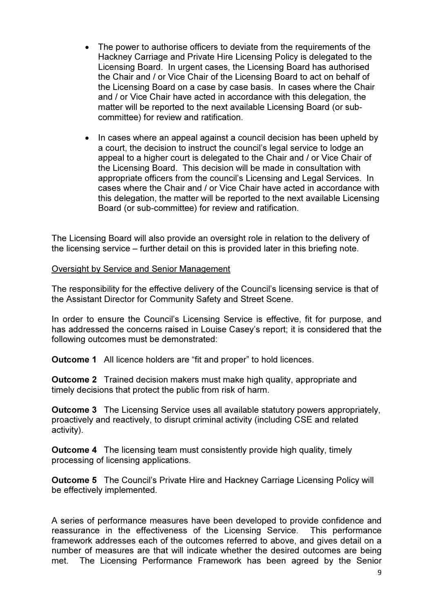- The power to authorise officers to deviate from the requirements of the Hackney Carriage and Private Hire Licensing Policy is delegated to the Licensing Board. In urgent cases, the Licensing Board has authorised the Chair and / or Vice Chair of the Licensing Board to act on behalf of the Licensing Board on a case by case basis. In cases where the Chair and / or Vice Chair have acted in accordance with this delegation, the matter will be reported to the next available Licensing Board (or subcommittee) for review and ratification.
- In cases where an appeal against a council decision has been upheld by a court, the decision to instruct the council's legal service to lodge an appeal to a higher court is delegated to the Chair and / or Vice Chair of the Licensing Board. This decision will be made in consultation with appropriate officers from the council's Licensing and Legal Services. In cases where the Chair and / or Vice Chair have acted in accordance with this delegation, the matter will be reported to the next available Licensing Board (or sub-committee) for review and ratification.

The Licensing Board will also provide an oversight role in relation to the delivery of the licensing service – further detail on this is provided later in this briefing note.

#### Oversight by Service and Senior Management

The responsibility for the effective delivery of the Council's licensing service is that of the Assistant Director for Community Safety and Street Scene.

In order to ensure the Council's Licensing Service is effective, fit for purpose, and has addressed the concerns raised in Louise Casey's report; it is considered that the following outcomes must be demonstrated:

**Outcome 1** All licence holders are "fit and proper" to hold licences.

Outcome 2 Trained decision makers must make high quality, appropriate and timely decisions that protect the public from risk of harm.

Outcome 3 The Licensing Service uses all available statutory powers appropriately, proactively and reactively, to disrupt criminal activity (including CSE and related activity).

Outcome 4 The licensing team must consistently provide high quality, timely processing of licensing applications.

Outcome 5 The Council's Private Hire and Hackney Carriage Licensing Policy will be effectively implemented.

A series of performance measures have been developed to provide confidence and reassurance in the effectiveness of the Licensing Service. This performance framework addresses each of the outcomes referred to above, and gives detail on a number of measures are that will indicate whether the desired outcomes are being met. The Licensing Performance Framework has been agreed by the Senior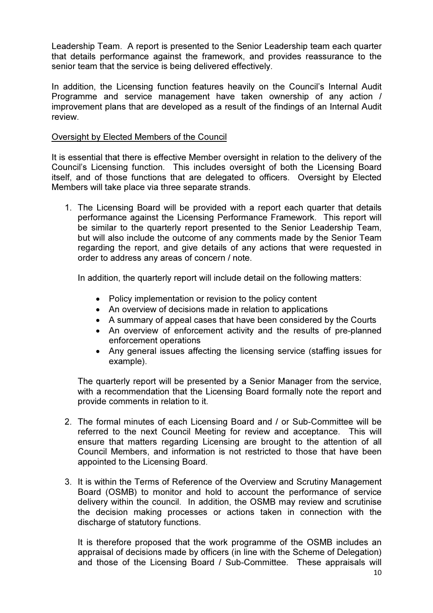Leadership Team. A report is presented to the Senior Leadership team each quarter that details performance against the framework, and provides reassurance to the senior team that the service is being delivered effectively.

In addition, the Licensing function features heavily on the Council's Internal Audit Programme and service management have taken ownership of any action / improvement plans that are developed as a result of the findings of an Internal Audit review.

#### Oversight by Elected Members of the Council

It is essential that there is effective Member oversight in relation to the delivery of the Council's Licensing function. This includes oversight of both the Licensing Board itself, and of those functions that are delegated to officers. Oversight by Elected Members will take place via three separate strands.

1. The Licensing Board will be provided with a report each quarter that details performance against the Licensing Performance Framework. This report will be similar to the quarterly report presented to the Senior Leadership Team, but will also include the outcome of any comments made by the Senior Team regarding the report, and give details of any actions that were requested in order to address any areas of concern / note.

In addition, the quarterly report will include detail on the following matters:

- Policy implementation or revision to the policy content
- An overview of decisions made in relation to applications
- A summary of appeal cases that have been considered by the Courts
- An overview of enforcement activity and the results of pre-planned enforcement operations
- Any general issues affecting the licensing service (staffing issues for example).

The quarterly report will be presented by a Senior Manager from the service, with a recommendation that the Licensing Board formally note the report and provide comments in relation to it.

- 2. The formal minutes of each Licensing Board and / or Sub-Committee will be referred to the next Council Meeting for review and acceptance. This will ensure that matters regarding Licensing are brought to the attention of all Council Members, and information is not restricted to those that have been appointed to the Licensing Board.
- 3. It is within the Terms of Reference of the Overview and Scrutiny Management Board (OSMB) to monitor and hold to account the performance of service delivery within the council. In addition, the OSMB may review and scrutinise the decision making processes or actions taken in connection with the discharge of statutory functions.

It is therefore proposed that the work programme of the OSMB includes an appraisal of decisions made by officers (in line with the Scheme of Delegation) and those of the Licensing Board / Sub-Committee. These appraisals will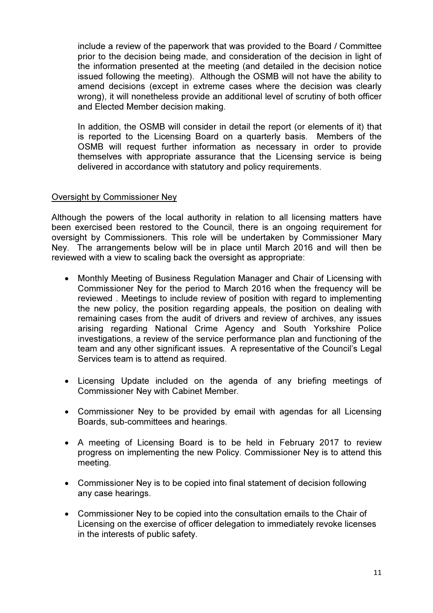include a review of the paperwork that was provided to the Board / Committee prior to the decision being made, and consideration of the decision in light of the information presented at the meeting (and detailed in the decision notice issued following the meeting). Although the OSMB will not have the ability to amend decisions (except in extreme cases where the decision was clearly wrong), it will nonetheless provide an additional level of scrutiny of both officer and Elected Member decision making.

In addition, the OSMB will consider in detail the report (or elements of it) that is reported to the Licensing Board on a quarterly basis. Members of the OSMB will request further information as necessary in order to provide themselves with appropriate assurance that the Licensing service is being delivered in accordance with statutory and policy requirements.

#### Oversight by Commissioner Ney

Although the powers of the local authority in relation to all licensing matters have been exercised been restored to the Council, there is an ongoing requirement for oversight by Commissioners. This role will be undertaken by Commissioner Mary Ney. The arrangements below will be in place until March 2016 and will then be reviewed with a view to scaling back the oversight as appropriate:

- Monthly Meeting of Business Regulation Manager and Chair of Licensing with Commissioner Ney for the period to March 2016 when the frequency will be reviewed . Meetings to include review of position with regard to implementing the new policy, the position regarding appeals, the position on dealing with remaining cases from the audit of drivers and review of archives, any issues arising regarding National Crime Agency and South Yorkshire Police investigations, a review of the service performance plan and functioning of the team and any other significant issues. A representative of the Council's Legal Services team is to attend as required.
- Licensing Update included on the agenda of any briefing meetings of Commissioner Ney with Cabinet Member.
- Commissioner Ney to be provided by email with agendas for all Licensing Boards, sub-committees and hearings.
- A meeting of Licensing Board is to be held in February 2017 to review progress on implementing the new Policy. Commissioner Ney is to attend this meeting.
- Commissioner Ney is to be copied into final statement of decision following any case hearings.
- Commissioner Ney to be copied into the consultation emails to the Chair of Licensing on the exercise of officer delegation to immediately revoke licenses in the interests of public safety.